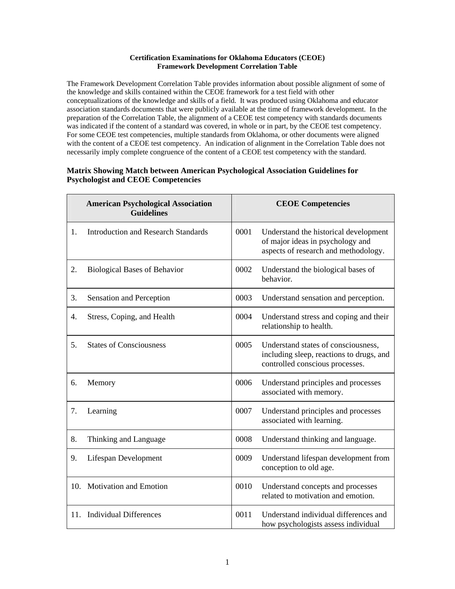## **Certification Examinations for Oklahoma Educators (CEOE) Framework Development Correlation Table**

The Framework Development Correlation Table provides information about possible alignment of some of the knowledge and skills contained within the CEOE framework for a test field with other conceptualizations of the knowledge and skills of a field. It was produced using Oklahoma and educator association standards documents that were publicly available at the time of framework development. In the preparation of the Correlation Table, the alignment of a CEOE test competency with standards documents was indicated if the content of a standard was covered, in whole or in part, by the CEOE test competency. For some CEOE test competencies, multiple standards from Oklahoma, or other documents were aligned with the content of a CEOE test competency. An indication of alignment in the Correlation Table does not necessarily imply complete congruence of the content of a CEOE test competency with the standard.

## **Matrix Showing Match between American Psychological Association Guidelines for Psychologist and CEOE Competencies**

|     | <b>American Psychological Association</b><br><b>Guidelines</b> | <b>CEOE Competencies</b> |                                                                                                                    |
|-----|----------------------------------------------------------------|--------------------------|--------------------------------------------------------------------------------------------------------------------|
| 1.  | <b>Introduction and Research Standards</b>                     | 0001                     | Understand the historical development<br>of major ideas in psychology and<br>aspects of research and methodology.  |
| 2.  | <b>Biological Bases of Behavior</b>                            | 0002                     | Understand the biological bases of<br>behavior.                                                                    |
| 3.  | Sensation and Perception                                       | 0003                     | Understand sensation and perception.                                                                               |
| 4.  | Stress, Coping, and Health                                     | 0004                     | Understand stress and coping and their<br>relationship to health.                                                  |
| 5.  | <b>States of Consciousness</b>                                 | 0005                     | Understand states of consciousness,<br>including sleep, reactions to drugs, and<br>controlled conscious processes. |
| 6.  | Memory                                                         | 0006                     | Understand principles and processes<br>associated with memory.                                                     |
| 7.  | Learning                                                       | 0007                     | Understand principles and processes<br>associated with learning.                                                   |
| 8.  | Thinking and Language                                          | 0008                     | Understand thinking and language.                                                                                  |
| 9.  | Lifespan Development                                           | 0009                     | Understand lifespan development from<br>conception to old age.                                                     |
| 10. | <b>Motivation and Emotion</b>                                  | 0010                     | Understand concepts and processes<br>related to motivation and emotion.                                            |
| 11. | <b>Individual Differences</b>                                  | 0011                     | Understand individual differences and<br>how psychologists assess individual                                       |